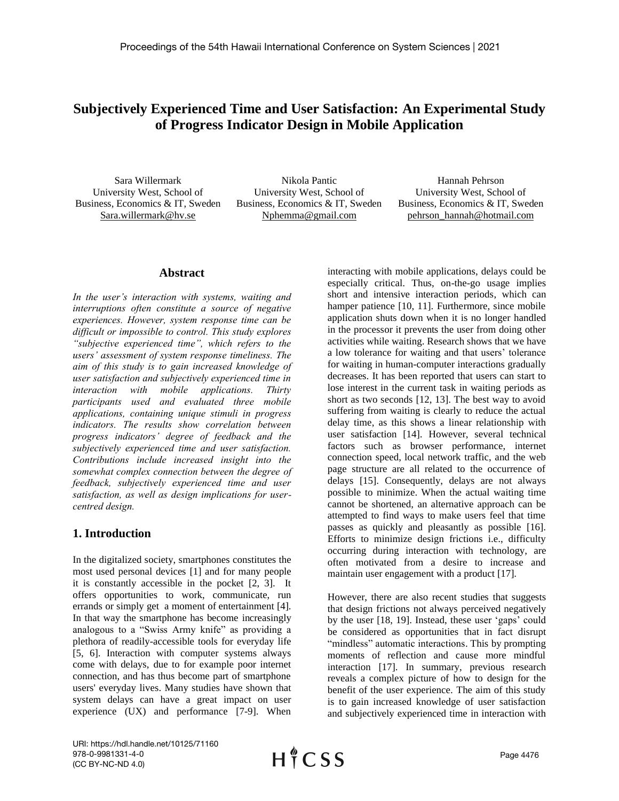# **Subjectively Experienced Time and User Satisfaction: An Experimental Study of Progress Indicator Design in Mobile Application**

Sara Willermark University West, School of Business, Economics & IT, Sweden Sara.willermark@hv.se

Nikola Pantic University West, School of Business, Economics & IT, Sweden Nphemma@gmail.com

Hannah Pehrson University West, School of Business, Economics & IT, Sweden pehrson\_hannah@hotmail.com

#### **Abstract**

*In the user's interaction with systems, waiting and interruptions often constitute a source of negative experiences. However, system response time can be difficult or impossible to control. This study explores "subjective experienced time", which refers to the users' assessment of system response timeliness. The aim of this study is to gain increased knowledge of user satisfaction and subjectively experienced time in interaction with mobile applications. Thirty participants used and evaluated three mobile applications, containing unique stimuli in progress indicators. The results show correlation between progress indicators' degree of feedback and the subjectively experienced time and user satisfaction. Contributions include increased insight into the somewhat complex connection between the degree of feedback, subjectively experienced time and user satisfaction, as well as design implications for usercentred design.*

## **1. Introduction**

In the digitalized society, smartphones constitutes the most used personal devices [1] and for many people it is constantly accessible in the pocket [2, 3]. It offers opportunities to work, communicate, run errands or simply get a moment of entertainment [4]. In that way the smartphone has become increasingly analogous to a "Swiss Army knife" as providing a plethora of readily-accessible tools for everyday life [5, 6]. Interaction with computer systems always come with delays, due to for example poor internet connection, and has thus become part of smartphone users' everyday lives. Many studies have shown that system delays can have a great impact on user experience (UX) and performance [7-9]. When

interacting with mobile applications, delays could be especially critical. Thus, on-the-go usage implies short and intensive interaction periods, which can hamper patience [10, 11]. Furthermore, since mobile application shuts down when it is no longer handled in the processor it prevents the user from doing other activities while waiting. Research shows that we have a low tolerance for waiting and that users' tolerance for waiting in human-computer interactions gradually decreases. It has been reported that users can start to lose interest in the current task in waiting periods as short as two seconds [12, 13]. The best way to avoid suffering from waiting is clearly to reduce the actual delay time, as this shows a linear relationship with user satisfaction [14]. However, several technical factors such as browser performance, internet connection speed, local network traffic, and the web page structure are all related to the occurrence of delays [15]. Consequently, delays are not always possible to minimize. When the actual waiting time cannot be shortened, an alternative approach can be attempted to find ways to make users feel that time passes as quickly and pleasantly as possible [16]. Efforts to minimize design frictions i.e., difficulty occurring during interaction with technology, are often motivated from a desire to increase and maintain user engagement with a product [17].

However, there are also recent studies that suggests that design frictions not always perceived negatively by the user [18, 19]. Instead, these user 'gaps' could be considered as opportunities that in fact disrupt "mindless" automatic interactions. This by prompting moments of reflection and cause more mindful interaction [17]. In summary, previous research reveals a complex picture of how to design for the benefit of the user experience. The aim of this study is to gain increased knowledge of user satisfaction and subjectively experienced time in interaction with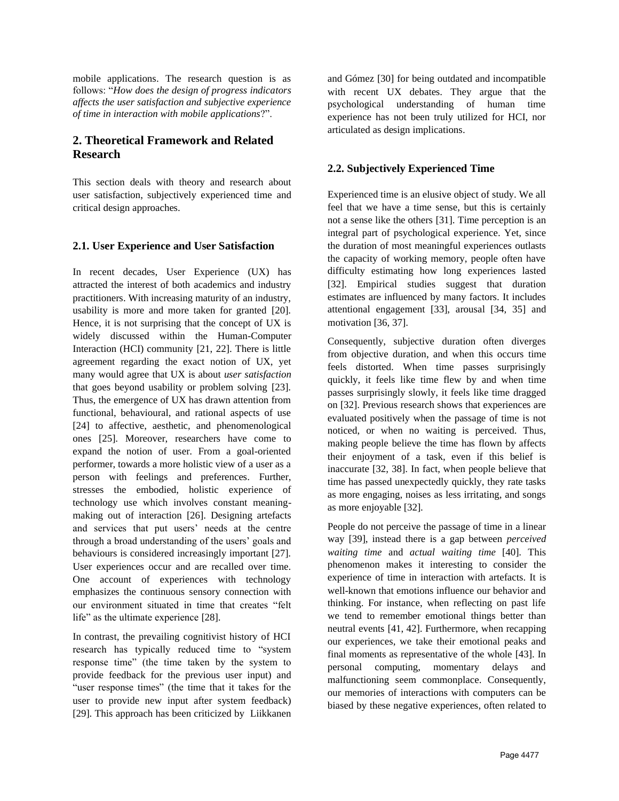mobile applications. The research question is as follows: "*How does the design of progress indicators affects the user satisfaction and subjective experience of time in interaction with mobile applications*?".

# **2. Theoretical Framework and Related Research**

This section deals with theory and research about user satisfaction, subjectively experienced time and critical design approaches.

#### **2.1. User Experience and User Satisfaction**

In recent decades, User Experience (UX) has attracted the interest of both academics and industry practitioners. With increasing maturity of an industry, usability is more and more taken for granted [20]. Hence, it is not surprising that the concept of UX is widely discussed within the Human-Computer Interaction (HCI) community [21, 22]. There is little agreement regarding the exact notion of UX, yet many would agree that UX is about *user satisfaction* that goes beyond usability or problem solving [23]. Thus, the emergence of UX has drawn attention from functional, behavioural, and rational aspects of use [24] to affective, aesthetic, and phenomenological ones [25]. Moreover, researchers have come to expand the notion of user. From a goal-oriented performer, towards a more holistic view of a user as a person with feelings and preferences. Further, stresses the embodied, holistic experience of technology use which involves constant meaningmaking out of interaction [26]. Designing artefacts and services that put users' needs at the centre through a broad understanding of the users' goals and behaviours is considered increasingly important [27]. User experiences occur and are recalled over time. One account of experiences with technology emphasizes the continuous sensory connection with our environment situated in time that creates "felt life" as the ultimate experience [28].

In contrast, the prevailing cognitivist history of HCI research has typically reduced time to "system response time" (the time taken by the system to provide feedback for the previous user input) and "user response times" (the time that it takes for the user to provide new input after system feedback) [29]. This approach has been criticized by Liikkanen

and Gómez [30] for being outdated and incompatible with recent UX debates. They argue that the psychological understanding of human time experience has not been truly utilized for HCI, nor articulated as design implications.

## **2.2. Subjectively Experienced Time**

Experienced time is an elusive object of study. We all feel that we have a time sense, but this is certainly not a sense like the others [31]. Time perception is an integral part of psychological experience. Yet, since the duration of most meaningful experiences outlasts the capacity of working memory, people often have difficulty estimating how long experiences lasted [32]. Empirical studies suggest that duration estimates are influenced by many factors. It includes attentional engagement [33], arousal [34, 35] and motivation [36, 37].

Consequently, subjective duration often diverges from objective duration, and when this occurs time feels distorted. When time passes surprisingly quickly, it feels like time flew by and when time passes surprisingly slowly, it feels like time dragged on [32]. Previous research shows that experiences are evaluated positively when the passage of time is not noticed, or when no waiting is perceived. Thus, making people believe the time has flown by affects their enjoyment of a task, even if this belief is inaccurate [32, 38]. In fact, when people believe that time has passed unexpectedly quickly, they rate tasks as more engaging, noises as less irritating, and songs as more enjoyable [32].

People do not perceive the passage of time in a linear way [39], instead there is a gap between *perceived waiting time* and *actual waiting time* [40]. This phenomenon makes it interesting to consider the experience of time in interaction with artefacts. It is well-known that emotions influence our behavior and thinking. For instance, when reflecting on past life we tend to remember emotional things better than neutral events [41, 42]. Furthermore, when recapping our experiences, we take their emotional peaks and final moments as representative of the whole [43]. In personal computing, momentary delays and malfunctioning seem commonplace. Consequently, our memories of interactions with computers can be biased by these negative experiences, often related to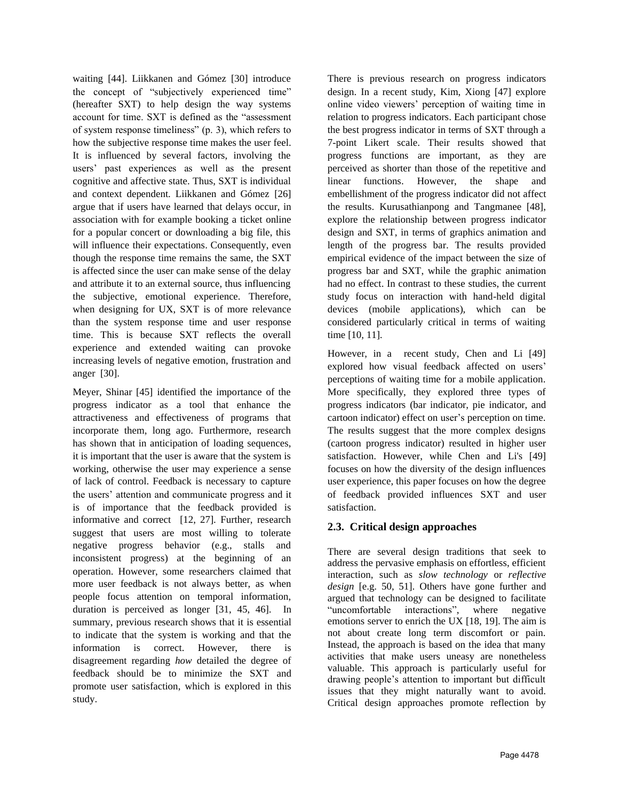waiting [44]. Liikkanen and Gómez [30] introduce the concept of "subjectively experienced time" (hereafter SXT) to help design the way systems account for time. SXT is defined as the "assessment of system response timeliness" (p. 3), which refers to how the subjective response time makes the user feel. It is influenced by several factors, involving the users' past experiences as well as the present cognitive and affective state. Thus, SXT is individual and context dependent. Liikkanen and Gómez [26] argue that if users have learned that delays occur, in association with for example booking a ticket online for a popular concert or downloading a big file, this will influence their expectations. Consequently, even though the response time remains the same, the SXT is affected since the user can make sense of the delay and attribute it to an external source, thus influencing the subjective, emotional experience. Therefore, when designing for UX, SXT is of more relevance than the system response time and user response time. This is because SXT reflects the overall experience and extended waiting can provoke increasing levels of negative emotion, frustration and anger [30].

Meyer, Shinar [45] identified the importance of the progress indicator as a tool that enhance the attractiveness and effectiveness of programs that incorporate them, long ago. Furthermore, research has shown that in anticipation of loading sequences, it is important that the user is aware that the system is working, otherwise the user may experience a sense of lack of control. Feedback is necessary to capture the users' attention and communicate progress and it is of importance that the feedback provided is informative and correct [12, 27]. Further, research suggest that users are most willing to tolerate negative progress behavior (e.g., stalls and inconsistent progress) at the beginning of an operation. However, some researchers claimed that more user feedback is not always better, as when people focus attention on temporal information, duration is perceived as longer [31, 45, 46]. In summary, previous research shows that it is essential to indicate that the system is working and that the information is correct. However, there is disagreement regarding *how* detailed the degree of feedback should be to minimize the SXT and promote user satisfaction, which is explored in this study.

There is previous research on progress indicators design. In a recent study, Kim, Xiong [47] explore online video viewers' perception of waiting time in relation to progress indicators. Each participant chose the best progress indicator in terms of SXT through a 7-point Likert scale. Their results showed that progress functions are important, as they are perceived as shorter than those of the repetitive and linear functions. However, the shape and embellishment of the progress indicator did not affect the results. Kurusathianpong and Tangmanee [48], explore the relationship between progress indicator design and SXT, in terms of graphics animation and length of the progress bar. The results provided empirical evidence of the impact between the size of progress bar and SXT, while the graphic animation had no effect. In contrast to these studies, the current study focus on interaction with hand-held digital devices (mobile applications), which can be considered particularly critical in terms of waiting time [10, 11].

However, in a recent study, Chen and Li [49] explored how visual feedback affected on users' perceptions of waiting time for a mobile application. More specifically, they explored three types of progress indicators (bar indicator, pie indicator, and cartoon indicator) effect on user's perception on time. The results suggest that the more complex designs (cartoon progress indicator) resulted in higher user satisfaction. However, while Chen and Li's [49] focuses on how the diversity of the design influences user experience, this paper focuses on how the degree of feedback provided influences SXT and user satisfaction.

# **2.3. Critical design approaches**

There are several design traditions that seek to address the pervasive emphasis on effortless, efficient interaction, such as *slow technology* or *reflective design* [e.g. 50, 51]. Others have gone further and argued that technology can be designed to facilitate "uncomfortable interactions", where negative emotions server to enrich the UX [18, 19]. The aim is not about create long term discomfort or pain. Instead, the approach is based on the idea that many activities that make users uneasy are nonetheless valuable. This approach is particularly useful for drawing people's attention to important but difficult issues that they might naturally want to avoid. Critical design approaches promote reflection by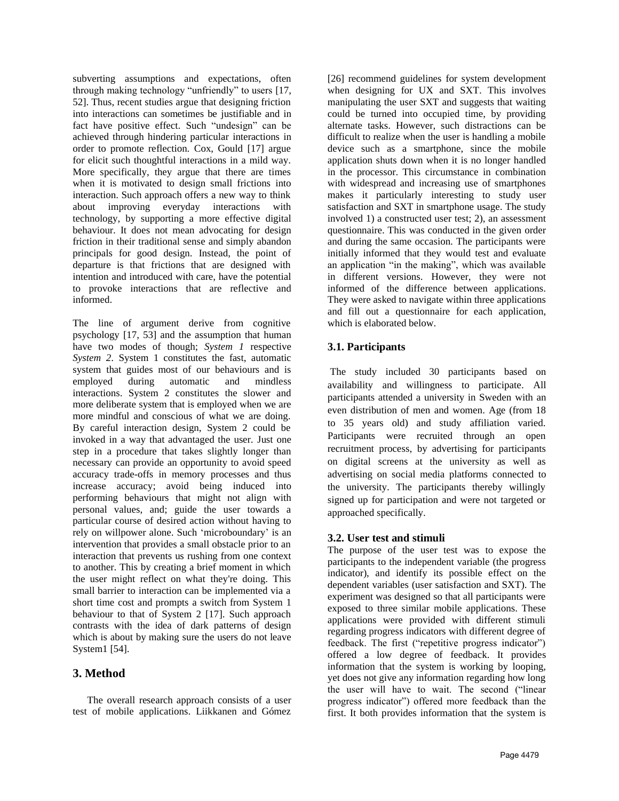subverting assumptions and expectations, often through making technology "unfriendly" to users [17, 52]. Thus, recent studies argue that designing friction into interactions can sometimes be justifiable and in fact have positive effect. Such "undesign" can be achieved through hindering particular interactions in order to promote reflection. Cox, Gould [17] argue for elicit such thoughtful interactions in a mild way. More specifically, they argue that there are times when it is motivated to design small frictions into interaction. Such approach offers a new way to think about improving everyday interactions with technology, by supporting a more effective digital behaviour. It does not mean advocating for design friction in their traditional sense and simply abandon principals for good design. Instead, the point of departure is that frictions that are designed with intention and introduced with care, have the potential to provoke interactions that are reflective and informed.

The line of argument derive from cognitive psychology [17, 53] and the assumption that human have two modes of though; *System 1* respective *System 2*. System 1 constitutes the fast, automatic system that guides most of our behaviours and is employed during automatic and mindless interactions. System 2 constitutes the slower and more deliberate system that is employed when we are more mindful and conscious of what we are doing. By careful interaction design, System 2 could be invoked in a way that advantaged the user. Just one step in a procedure that takes slightly longer than necessary can provide an opportunity to avoid speed accuracy trade-offs in memory processes and thus increase accuracy; avoid being induced into performing behaviours that might not align with personal values, and; guide the user towards a particular course of desired action without having to rely on willpower alone. Such 'microboundary' is an intervention that provides a small obstacle prior to an interaction that prevents us rushing from one context to another. This by creating a brief moment in which the user might reflect on what they're doing. This small barrier to interaction can be implemented via a short time cost and prompts a switch from System 1 behaviour to that of System 2 [17]. Such approach contrasts with the idea of dark patterns of design which is about by making sure the users do not leave System1 [54].

# **3. Method**

The overall research approach consists of a user test of mobile applications. Liikkanen and Gómez [26] recommend guidelines for system development when designing for UX and SXT. This involves manipulating the user SXT and suggests that waiting could be turned into occupied time, by providing alternate tasks. However, such distractions can be difficult to realize when the user is handling a mobile device such as a smartphone, since the mobile application shuts down when it is no longer handled in the processor. This circumstance in combination with widespread and increasing use of smartphones makes it particularly interesting to study user satisfaction and SXT in smartphone usage. The study involved 1) a constructed user test; 2), an assessment questionnaire. This was conducted in the given order and during the same occasion. The participants were initially informed that they would test and evaluate an application "in the making", which was available in different versions. However, they were not informed of the difference between applications. They were asked to navigate within three applications and fill out a questionnaire for each application, which is elaborated below.

# **3.1. Participants**

The study included 30 participants based on availability and willingness to participate. All participants attended a university in Sweden with an even distribution of men and women. Age (from 18 to 35 years old) and study affiliation varied. Participants were recruited through an open recruitment process, by advertising for participants on digital screens at the university as well as advertising on social media platforms connected to the university. The participants thereby willingly signed up for participation and were not targeted or approached specifically.

## **3.2. User test and stimuli**

The purpose of the user test was to expose the participants to the independent variable (the progress indicator), and identify its possible effect on the dependent variables (user satisfaction and SXT). The experiment was designed so that all participants were exposed to three similar mobile applications. These applications were provided with different stimuli regarding progress indicators with different degree of feedback. The first ("repetitive progress indicator") offered a low degree of feedback. It provides information that the system is working by looping, yet does not give any information regarding how long the user will have to wait. The second ("linear progress indicator") offered more feedback than the first. It both provides information that the system is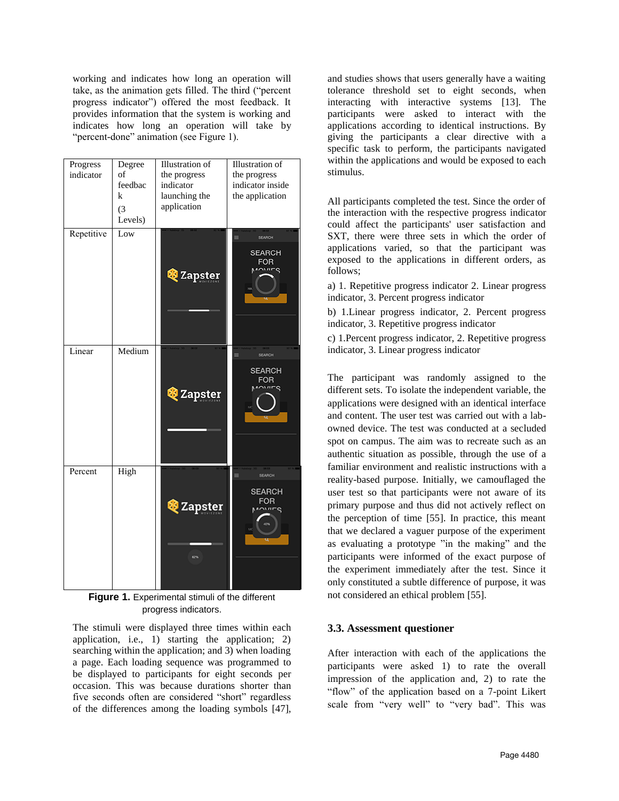working and indicates how long an operation will take, as the animation gets filled. The third ("percent progress indicator") offered the most feedback. It provides information that the system is working and indicates how long an operation will take by "percent-done" animation (see Figure 1).

| Progress<br>indicator | Degree<br>of<br>feedbac<br>k<br>(3)<br>Levels) | <b>Illustration</b> of<br>the progress<br>indicator<br>launching the<br>application | <b>Illustration</b> of<br>the progress<br>indicator inside<br>the application |
|-----------------------|------------------------------------------------|-------------------------------------------------------------------------------------|-------------------------------------------------------------------------------|
| Repetitive            | Low                                            | <b>Q</b> Zapster                                                                    | SEARCH<br><b>SEARCH</b><br><b>FOR</b><br>M                                    |
| Linear                | Medium                                         | <b>&amp;</b> Zapster                                                                | SEARCH<br>$\equiv$<br><b>SEARCH</b><br><b>FOR</b><br>$\sim$                   |
| Percent               | High                                           | <b>Q</b> Zapster<br>62%                                                             | SEARCH<br>≡<br><b>SEARCH</b><br><b>FOR</b><br>201/10                          |

**Figure 1.** Experimental stimuli of the different progress indicators.

The stimuli were displayed three times within each application, i.e., 1) starting the application; 2) searching within the application; and 3) when loading a page. Each loading sequence was programmed to be displayed to participants for eight seconds per occasion. This was because durations shorter than five seconds often are considered "short" regardless of the differences among the loading symbols [47], and studies shows that users generally have a waiting tolerance threshold set to eight seconds, when interacting with interactive systems [13]. The participants were asked to interact with the applications according to identical instructions. By giving the participants a clear directive with a specific task to perform, the participants navigated within the applications and would be exposed to each stimulus.

All participants completed the test. Since the order of the interaction with the respective progress indicator could affect the participants' user satisfaction and SXT, there were three sets in which the order of applications varied, so that the participant was exposed to the applications in different orders, as follows;

a) 1. Repetitive progress indicator 2. Linear progress indicator, 3. Percent progress indicator

b) 1.Linear progress indicator, 2. Percent progress indicator, 3. Repetitive progress indicator

c) 1.Percent progress indicator, 2. Repetitive progress indicator, 3. Linear progress indicator

The participant was randomly assigned to the different sets. To isolate the independent variable, the applications were designed with an identical interface and content. The user test was carried out with a labowned device. The test was conducted at a secluded spot on campus. The aim was to recreate such as an authentic situation as possible, through the use of a familiar environment and realistic instructions with a reality-based purpose. Initially, we camouflaged the user test so that participants were not aware of its primary purpose and thus did not actively reflect on the perception of time [55]. In practice, this meant that we declared a vaguer purpose of the experiment as evaluating a prototype "in the making" and the participants were informed of the exact purpose of the experiment immediately after the test. Since it only constituted a subtle difference of purpose, it was not considered an ethical problem [55].

## **3.3. Assessment questioner**

After interaction with each of the applications the participants were asked 1) to rate the overall impression of the application and, 2) to rate the "flow" of the application based on a 7-point Likert scale from "very well" to "very bad". This was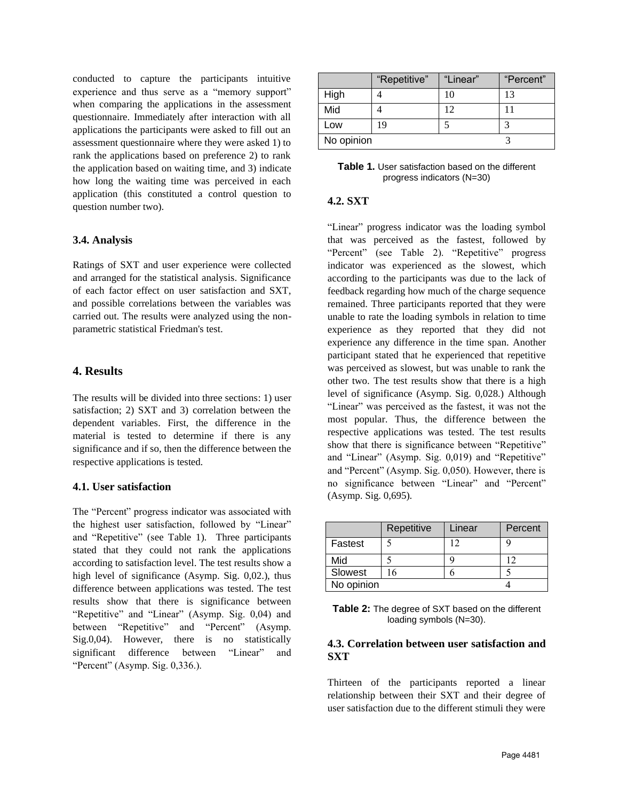conducted to capture the participants intuitive experience and thus serve as a "memory support" when comparing the applications in the assessment questionnaire. Immediately after interaction with all applications the participants were asked to fill out an assessment questionnaire where they were asked 1) to rank the applications based on preference 2) to rank the application based on waiting time, and 3) indicate how long the waiting time was perceived in each application (this constituted a control question to question number two).

#### **3.4. Analysis**

Ratings of SXT and user experience were collected and arranged for the statistical analysis. Significance of each factor effect on user satisfaction and SXT, and possible correlations between the variables was carried out. The results were analyzed using the nonparametric statistical Friedman's test.

#### **4. Results**

The results will be divided into three sections: 1) user satisfaction; 2) SXT and 3) correlation between the dependent variables. First, the difference in the material is tested to determine if there is any significance and if so, then the difference between the respective applications is tested.

#### **4.1. User satisfaction**

The "Percent" progress indicator was associated with the highest user satisfaction, followed by "Linear" and "Repetitive" (see Table 1). Three participants stated that they could not rank the applications according to satisfaction level. The test results show a high level of significance (Asymp. Sig. 0,02.), thus difference between applications was tested. The test results show that there is significance between "Repetitive" and "Linear" (Asymp. Sig. 0,04) and between "Repetitive" and "Percent" (Asymp. Sig.0,04). However, there is no statistically significant difference between "Linear" and "Percent" (Asymp. Sig. 0,336.).

|            | "Repetitive" | "Linear" | "Percent" |
|------------|--------------|----------|-----------|
| High       |              | 10       | 13        |
| Mid        |              | 12       |           |
| Low        | 19           |          |           |
| No opinion |              |          |           |

| <b>Table 1.</b> User satisfaction based on the different |  |
|----------------------------------------------------------|--|
| progress indicators (N=30)                               |  |

#### **4.2. SXT**

"Linear" progress indicator was the loading symbol that was perceived as the fastest, followed by "Percent" (see Table 2). "Repetitive" progress indicator was experienced as the slowest, which according to the participants was due to the lack of feedback regarding how much of the charge sequence remained. Three participants reported that they were unable to rate the loading symbols in relation to time experience as they reported that they did not experience any difference in the time span. Another participant stated that he experienced that repetitive was perceived as slowest, but was unable to rank the other two. The test results show that there is a high level of significance (Asymp. Sig. 0,028.) Although "Linear" was perceived as the fastest, it was not the most popular. Thus, the difference between the respective applications was tested. The test results show that there is significance between "Repetitive" and "Linear" (Asymp. Sig. 0,019) and "Repetitive" and "Percent" (Asymp. Sig. 0,050). However, there is no significance between "Linear" and "Percent" (Asymp. Sig. 0,695).

|            | Repetitive | Linear | Percent |  |
|------------|------------|--------|---------|--|
| Fastest    |            | 12     |         |  |
| Mid        |            |        |         |  |
| Slowest    | -6         |        |         |  |
| No opinion |            |        |         |  |

| Table 2: The degree of SXT based on the different |  |
|---------------------------------------------------|--|
| loading symbols (N=30).                           |  |

#### **4.3. Correlation between user satisfaction and SXT**

Thirteen of the participants reported a linear relationship between their SXT and their degree of user satisfaction due to the different stimuli they were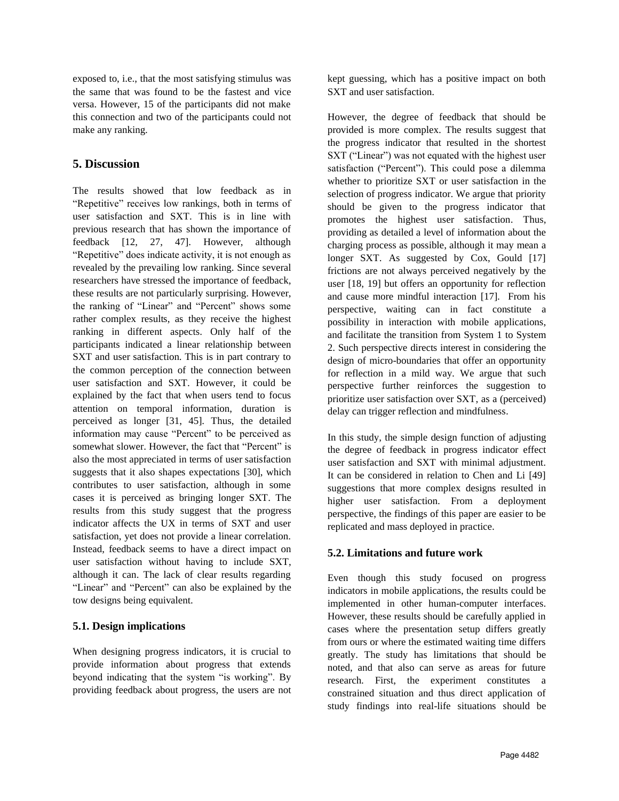exposed to, i.e., that the most satisfying stimulus was the same that was found to be the fastest and vice versa. However, 15 of the participants did not make this connection and two of the participants could not make any ranking.

# **5. Discussion**

The results showed that low feedback as in "Repetitive" receives low rankings, both in terms of user satisfaction and SXT. This is in line with previous research that has shown the importance of feedback [12, 27, 47]. However, although "Repetitive" does indicate activity, it is not enough as revealed by the prevailing low ranking. Since several researchers have stressed the importance of feedback, these results are not particularly surprising. However, the ranking of "Linear" and "Percent" shows some rather complex results, as they receive the highest ranking in different aspects. Only half of the participants indicated a linear relationship between SXT and user satisfaction. This is in part contrary to the common perception of the connection between user satisfaction and SXT. However, it could be explained by the fact that when users tend to focus attention on temporal information, duration is perceived as longer [31, 45]. Thus, the detailed information may cause "Percent" to be perceived as somewhat slower. However, the fact that "Percent" is also the most appreciated in terms of user satisfaction suggests that it also shapes expectations [30], which contributes to user satisfaction, although in some cases it is perceived as bringing longer SXT. The results from this study suggest that the progress indicator affects the UX in terms of SXT and user satisfaction, yet does not provide a linear correlation. Instead, feedback seems to have a direct impact on user satisfaction without having to include SXT, although it can. The lack of clear results regarding "Linear" and "Percent" can also be explained by the tow designs being equivalent.

## **5.1. Design implications**

When designing progress indicators, it is crucial to provide information about progress that extends beyond indicating that the system "is working". By providing feedback about progress, the users are not kept guessing, which has a positive impact on both SXT and user satisfaction.

However, the degree of feedback that should be provided is more complex. The results suggest that the progress indicator that resulted in the shortest SXT ("Linear") was not equated with the highest user satisfaction ("Percent"). This could pose a dilemma whether to prioritize SXT or user satisfaction in the selection of progress indicator. We argue that priority should be given to the progress indicator that promotes the highest user satisfaction. Thus, providing as detailed a level of information about the charging process as possible, although it may mean a longer SXT. As suggested by Cox, Gould [17] frictions are not always perceived negatively by the user [18, 19] but offers an opportunity for reflection and cause more mindful interaction [17]. From his perspective, waiting can in fact constitute a possibility in interaction with mobile applications, and facilitate the transition from System 1 to System 2. Such perspective directs interest in considering the design of micro-boundaries that offer an opportunity for reflection in a mild way. We argue that such perspective further reinforces the suggestion to prioritize user satisfaction over SXT, as a (perceived) delay can trigger reflection and mindfulness.

In this study, the simple design function of adjusting the degree of feedback in progress indicator effect user satisfaction and SXT with minimal adjustment. It can be considered in relation to Chen and Li [49] suggestions that more complex designs resulted in higher user satisfaction. From a deployment perspective, the findings of this paper are easier to be replicated and mass deployed in practice.

# **5.2. Limitations and future work**

Even though this study focused on progress indicators in mobile applications, the results could be implemented in other human-computer interfaces. However, these results should be carefully applied in cases where the presentation setup differs greatly from ours or where the estimated waiting time differs greatly. The study has limitations that should be noted, and that also can serve as areas for future research. First, the experiment constitutes a constrained situation and thus direct application of study findings into real-life situations should be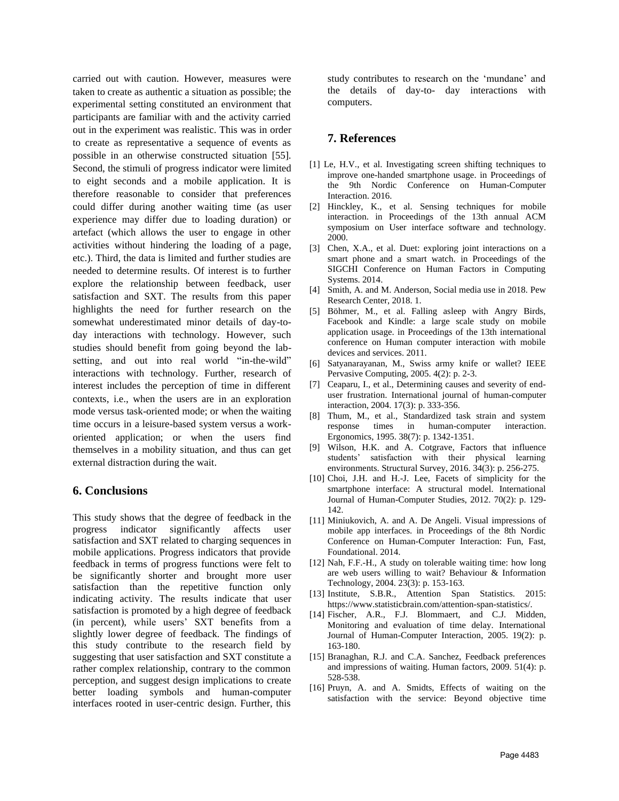carried out with caution. However, measures were taken to create as authentic a situation as possible; the experimental setting constituted an environment that participants are familiar with and the activity carried out in the experiment was realistic. This was in order to create as representative a sequence of events as possible in an otherwise constructed situation [55]. Second, the stimuli of progress indicator were limited to eight seconds and a mobile application. It is therefore reasonable to consider that preferences could differ during another waiting time (as user experience may differ due to loading duration) or artefact (which allows the user to engage in other activities without hindering the loading of a page, etc.). Third, the data is limited and further studies are needed to determine results. Of interest is to further explore the relationship between feedback, user satisfaction and SXT. The results from this paper highlights the need for further research on the somewhat underestimated minor details of day-today interactions with technology. However, such studies should benefit from going beyond the labsetting, and out into real world "in-the-wild" interactions with technology. Further, research of interest includes the perception of time in different contexts, i.e., when the users are in an exploration mode versus task-oriented mode; or when the waiting time occurs in a leisure-based system versus a workoriented application; or when the users find themselves in a mobility situation, and thus can get external distraction during the wait.

#### **6. Conclusions**

This study shows that the degree of feedback in the progress indicator significantly affects user satisfaction and SXT related to charging sequences in mobile applications. Progress indicators that provide feedback in terms of progress functions were felt to be significantly shorter and brought more user satisfaction than the repetitive function only indicating activity. The results indicate that user satisfaction is promoted by a high degree of feedback (in percent), while users' SXT benefits from a slightly lower degree of feedback. The findings of this study contribute to the research field by suggesting that user satisfaction and SXT constitute a rather complex relationship, contrary to the common perception, and suggest design implications to create better loading symbols and human-computer interfaces rooted in user-centric design. Further, this study contributes to research on the 'mundane' and the details of day-to- day interactions with computers.

# **7. References**

- [1] Le, H.V., et al. Investigating screen shifting techniques to improve one-handed smartphone usage. in Proceedings of the 9th Nordic Conference on Human-Computer Interaction. 2016.
- [2] Hinckley, K., et al. Sensing techniques for mobile interaction. in Proceedings of the 13th annual ACM symposium on User interface software and technology. 2000.
- [3] Chen, X.A., et al. Duet: exploring joint interactions on a smart phone and a smart watch. in Proceedings of the SIGCHI Conference on Human Factors in Computing Systems. 2014.
- [4] Smith, A. and M. Anderson, Social media use in 2018. Pew Research Center, 2018. 1.
- [5] Böhmer, M., et al. Falling asleep with Angry Birds, Facebook and Kindle: a large scale study on mobile application usage. in Proceedings of the 13th international conference on Human computer interaction with mobile devices and services. 2011.
- [6] Satyanarayanan, M., Swiss army knife or wallet? IEEE Pervasive Computing, 2005. 4(2): p. 2-3.
- [7] Ceaparu, I., et al., Determining causes and severity of enduser frustration. International journal of human-computer interaction, 2004. 17(3): p. 333-356.
- [8] Thum, M., et al., Standardized task strain and system response times in human-computer interaction. Ergonomics, 1995. 38(7): p. 1342-1351.
- [9] Wilson, H.K. and A. Cotgrave, Factors that influence students' satisfaction with their physical learning environments. Structural Survey, 2016. 34(3): p. 256-275.
- [10] Choi, J.H. and H.-J. Lee, Facets of simplicity for the smartphone interface: A structural model. International Journal of Human-Computer Studies, 2012. 70(2): p. 129- 142.
- [11] Miniukovich, A. and A. De Angeli. Visual impressions of mobile app interfaces. in Proceedings of the 8th Nordic Conference on Human-Computer Interaction: Fun, Fast, Foundational. 2014.
- [12] Nah, F.F.-H., A study on tolerable waiting time: how long are web users willing to wait? Behaviour & Information Technology, 2004. 23(3): p. 153-163.
- [13] Institute, S.B.R., Attention Span Statistics. 2015: https://www.statisticbrain.com/attention-span-statistics/.
- [14] Fischer, A.R., F.J. Blommaert, and C.J. Midden, Monitoring and evaluation of time delay. International Journal of Human-Computer Interaction, 2005. 19(2): p. 163-180.
- [15] Branaghan, R.J. and C.A. Sanchez, Feedback preferences and impressions of waiting. Human factors, 2009. 51(4): p. 528-538.
- [16] Pruyn, A. and A. Smidts, Effects of waiting on the satisfaction with the service: Beyond objective time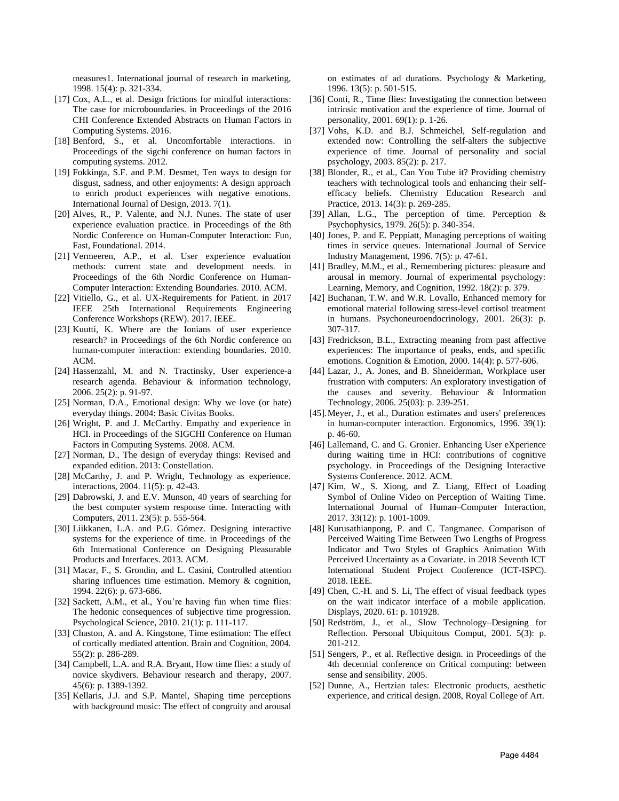measures1. International journal of research in marketing, 1998. 15(4): p. 321-334.

- [17] Cox, A.L., et al. Design frictions for mindful interactions: The case for microboundaries. in Proceedings of the 2016 CHI Conference Extended Abstracts on Human Factors in Computing Systems. 2016.
- [18] Benford, S., et al. Uncomfortable interactions. in Proceedings of the sigchi conference on human factors in computing systems. 2012.
- [19] Fokkinga, S.F. and P.M. Desmet, Ten ways to design for disgust, sadness, and other enjoyments: A design approach to enrich product experiences with negative emotions. International Journal of Design, 2013. 7(1).
- [20] Alves, R., P. Valente, and N.J. Nunes. The state of user experience evaluation practice. in Proceedings of the 8th Nordic Conference on Human-Computer Interaction: Fun, Fast, Foundational. 2014.
- [21] Vermeeren, A.P., et al. User experience evaluation methods: current state and development needs. in Proceedings of the 6th Nordic Conference on Human-Computer Interaction: Extending Boundaries. 2010. ACM.
- [22] Vitiello, G., et al. UX-Requirements for Patient. in 2017 IEEE 25th International Requirements Engineering Conference Workshops (REW). 2017. IEEE.
- [23] Kuutti, K. Where are the Ionians of user experience research? in Proceedings of the 6th Nordic conference on human-computer interaction: extending boundaries. 2010. ACM.
- [24] Hassenzahl, M. and N. Tractinsky, User experience-a research agenda. Behaviour & information technology, 2006. 25(2): p. 91-97.
- [25] Norman, D.A., Emotional design: Why we love (or hate) everyday things. 2004: Basic Civitas Books.
- [26] Wright, P. and J. McCarthy. Empathy and experience in HCI. in Proceedings of the SIGCHI Conference on Human Factors in Computing Systems. 2008. ACM.
- [27] Norman, D., The design of everyday things: Revised and expanded edition. 2013: Constellation.
- [28] McCarthy, J. and P. Wright, Technology as experience. interactions, 2004. 11(5): p. 42-43.
- [29] Dabrowski, J. and E.V. Munson, 40 years of searching for the best computer system response time. Interacting with Computers, 2011. 23(5): p. 555-564.
- [30] Liikkanen, L.A. and P.G. Gómez. Designing interactive systems for the experience of time. in Proceedings of the 6th International Conference on Designing Pleasurable Products and Interfaces. 2013. ACM.
- [31] Macar, F., S. Grondin, and L. Casini, Controlled attention sharing influences time estimation. Memory & cognition, 1994. 22(6): p. 673-686.
- [32] Sackett, A.M., et al., You're having fun when time flies: The hedonic consequences of subjective time progression. Psychological Science, 2010. 21(1): p. 111-117.
- [33] Chaston, A. and A. Kingstone, Time estimation: The effect of cortically mediated attention. Brain and Cognition, 2004. 55(2): p. 286-289.
- [34] Campbell, L.A. and R.A. Bryant, How time flies: a study of novice skydivers. Behaviour research and therapy, 2007. 45(6): p. 1389-1392.
- [35] Kellaris, J.J. and S.P. Mantel, Shaping time perceptions with background music: The effect of congruity and arousal

on estimates of ad durations. Psychology & Marketing, 1996. 13(5): p. 501-515.

- [36] Conti, R., Time flies: Investigating the connection between intrinsic motivation and the experience of time. Journal of personality, 2001. 69(1): p. 1-26.
- [37] Vohs, K.D. and B.J. Schmeichel, Self-regulation and extended now: Controlling the self-alters the subjective experience of time. Journal of personality and social psychology, 2003. 85(2): p. 217.
- [38] Blonder, R., et al., Can You Tube it? Providing chemistry teachers with technological tools and enhancing their selfefficacy beliefs. Chemistry Education Research and Practice, 2013. 14(3): p. 269-285.
- [39] Allan, L.G., The perception of time. Perception & Psychophysics, 1979. 26(5): p. 340-354.
- [40] Jones, P. and E. Peppiatt, Managing perceptions of waiting times in service queues. International Journal of Service Industry Management, 1996. 7(5): p. 47-61.
- [41] Bradley, M.M., et al., Remembering pictures: pleasure and arousal in memory. Journal of experimental psychology: Learning, Memory, and Cognition, 1992. 18(2): p. 379.
- [42] Buchanan, T.W. and W.R. Lovallo, Enhanced memory for emotional material following stress-level cortisol treatment in humans. Psychoneuroendocrinology, 2001. 26(3): p. 307-317.
- [43] Fredrickson, B.L., Extracting meaning from past affective experiences: The importance of peaks, ends, and specific emotions. Cognition & Emotion, 2000. 14(4): p. 577-606.
- [44] Lazar, J., A. Jones, and B. Shneiderman, Workplace user frustration with computers: An exploratory investigation of the causes and severity. Behaviour & Information Technology, 2006. 25(03): p. 239-251.
- [45].Meyer, J., et al., Duration estimates and users' preferences in human-computer interaction. Ergonomics, 1996. 39(1): p. 46-60.
- [46] Lallemand, C. and G. Gronier. Enhancing User eXperience during waiting time in HCI: contributions of cognitive psychology. in Proceedings of the Designing Interactive Systems Conference. 2012. ACM.
- [47] Kim, W., S. Xiong, and Z. Liang, Effect of Loading Symbol of Online Video on Perception of Waiting Time. International Journal of Human–Computer Interaction, 2017. 33(12): p. 1001-1009.
- [48] Kurusathianpong, P. and C. Tangmanee. Comparison of Perceived Waiting Time Between Two Lengths of Progress Indicator and Two Styles of Graphics Animation With Perceived Uncertainty as a Covariate. in 2018 Seventh ICT International Student Project Conference (ICT-ISPC). 2018. IEEE.
- [49] Chen, C.-H. and S. Li, The effect of visual feedback types on the wait indicator interface of a mobile application. Displays, 2020. 61: p. 101928.
- [50] Redström, J., et al., Slow Technology–Designing for Reflection. Personal Ubiquitous Comput, 2001. 5(3): p. 201-212.
- [51] Sengers, P., et al. Reflective design. in Proceedings of the 4th decennial conference on Critical computing: between sense and sensibility. 2005.
- [52] Dunne, A., Hertzian tales: Electronic products, aesthetic experience, and critical design. 2008, Royal College of Art.